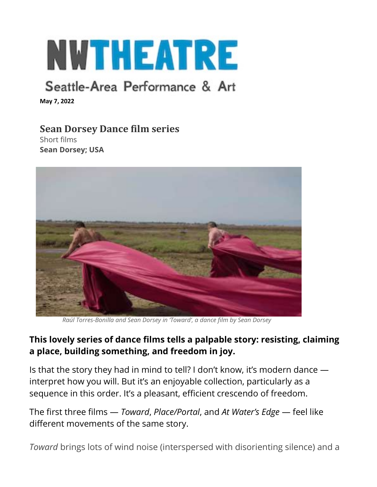# NUTHEATRE

## Seattle-Area Performance & Art

May 7, 2022

### Sean Dorsey Dance film series

Short films Sean Dorsey; USA



Raúl Torres-Bonilla and Sean Dorsey in 'Toward', a dance film by Sean Dorsey

#### This lovely series of dance films tells a palpable story: resisting, claiming a place, building something, and freedom in joy.

Is that the story they had in mind to tell? I don't know, it's modern dance interpret how you will. But it's an enjoyable collection, particularly as a sequence in this order. It's a pleasant, efficient crescendo of freedom.

The first three films — Toward, Place/Portal, and At Water's Edge — feel like different movements of the same story.

Toward brings lots of wind noise (interspersed with disorienting silence) and a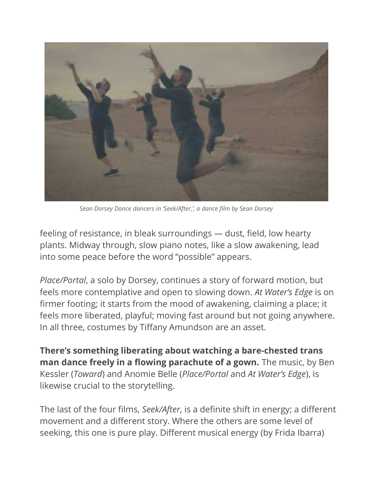

Sean Dorsey Dance dancers in 'Seek/After,', a dance film by Sean Dorsey

feeling of resistance, in bleak surroundings — dust, field, low hearty plants. Midway through, slow piano notes, like a slow awakening, lead into some peace before the word "possible" appears.

Place/Portal, a solo by Dorsey, continues a story of forward motion, but feels more contemplative and open to slowing down. At Water's Edge is on firmer footing; it starts from the mood of awakening, claiming a place; it feels more liberated, playful; moving fast around but not going anywhere. In all three, costumes by Tiffany Amundson are an asset.

There's something liberating about watching a bare-chested trans man dance freely in a flowing parachute of a gown. The music, by Ben Kessler (Toward) and Anomie Belle (Place/Portal and At Water's Edge), is likewise crucial to the storytelling.

The last of the four films, Seek/After, is a definite shift in energy; a different movement and a different story. Where the others are some level of seeking, this one is pure play. Different musical energy (by Frida Ibarra)